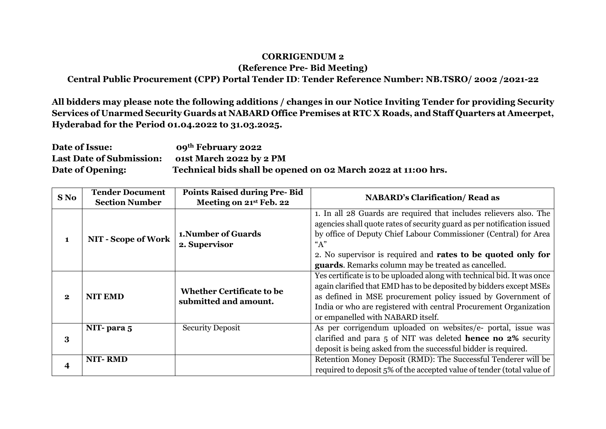## **CORRIGENDUM 2**

**(Reference Pre- Bid Meeting)**

**Central Public Procurement (CPP) Portal Tender ID**: **Tender Reference Number: NB.TSRO/ 2002 /2021-22**

**All bidders may please note the following additions / changes in our Notice Inviting Tender for providing Security Services of Unarmed Security Guards at NABARD Office Premises at RTC X Roads, and Staff Quarters at Ameerpet, Hyderabad for the Period 01.04.2022 to 31.03.2025.**

**Date of Issue: 09th February 2022 Last Date of Submission: o1st March 2022 by 2 PM Date of Opening: Technical bids shall be opened on 02 March 2022 at 11:00 hrs.**

| S No         | <b>Tender Document</b>     | <b>Points Raised during Pre-Bid</b>                       | <b>NABARD's Clarification/ Read as</b>                                  |
|--------------|----------------------------|-----------------------------------------------------------|-------------------------------------------------------------------------|
|              | <b>Section Number</b>      | Meeting on 21st Feb. 22                                   |                                                                         |
| 1            |                            |                                                           | 1. In all 28 Guards are required that includes relievers also. The      |
|              | <b>NIT - Scope of Work</b> |                                                           | agencies shall quote rates of security guard as per notification issued |
|              |                            | <b>1. Number of Guards</b>                                | by office of Deputy Chief Labour Commissioner (Central) for Area        |
|              |                            | 2. Supervisor                                             | "A"                                                                     |
|              |                            |                                                           | 2. No supervisor is required and rates to be quoted only for            |
|              |                            |                                                           | guards. Remarks column may be treated as cancelled.                     |
| $\mathbf{2}$ | <b>NIT EMD</b>             | <b>Whether Certificate to be</b><br>submitted and amount. | Yes certificate is to be uploaded along with technical bid. It was once |
|              |                            |                                                           | again clarified that EMD has to be deposited by bidders except MSEs     |
|              |                            |                                                           | as defined in MSE procurement policy issued by Government of            |
|              |                            |                                                           | India or who are registered with central Procurement Organization       |
|              |                            |                                                           | or empanelled with NABARD itself.                                       |
| 3            | NIT-para 5                 | <b>Security Deposit</b>                                   | As per corrigendum uploaded on websites/e- portal, issue was            |
|              |                            |                                                           | clarified and para 5 of NIT was deleted <b>hence no 2%</b> security     |
|              |                            |                                                           | deposit is being asked from the successful bidder is required.          |
|              | <b>NIT-RMD</b>             |                                                           | Retention Money Deposit (RMD): The Successful Tenderer will be          |
|              |                            |                                                           | required to deposit 5% of the accepted value of tender (total value of  |